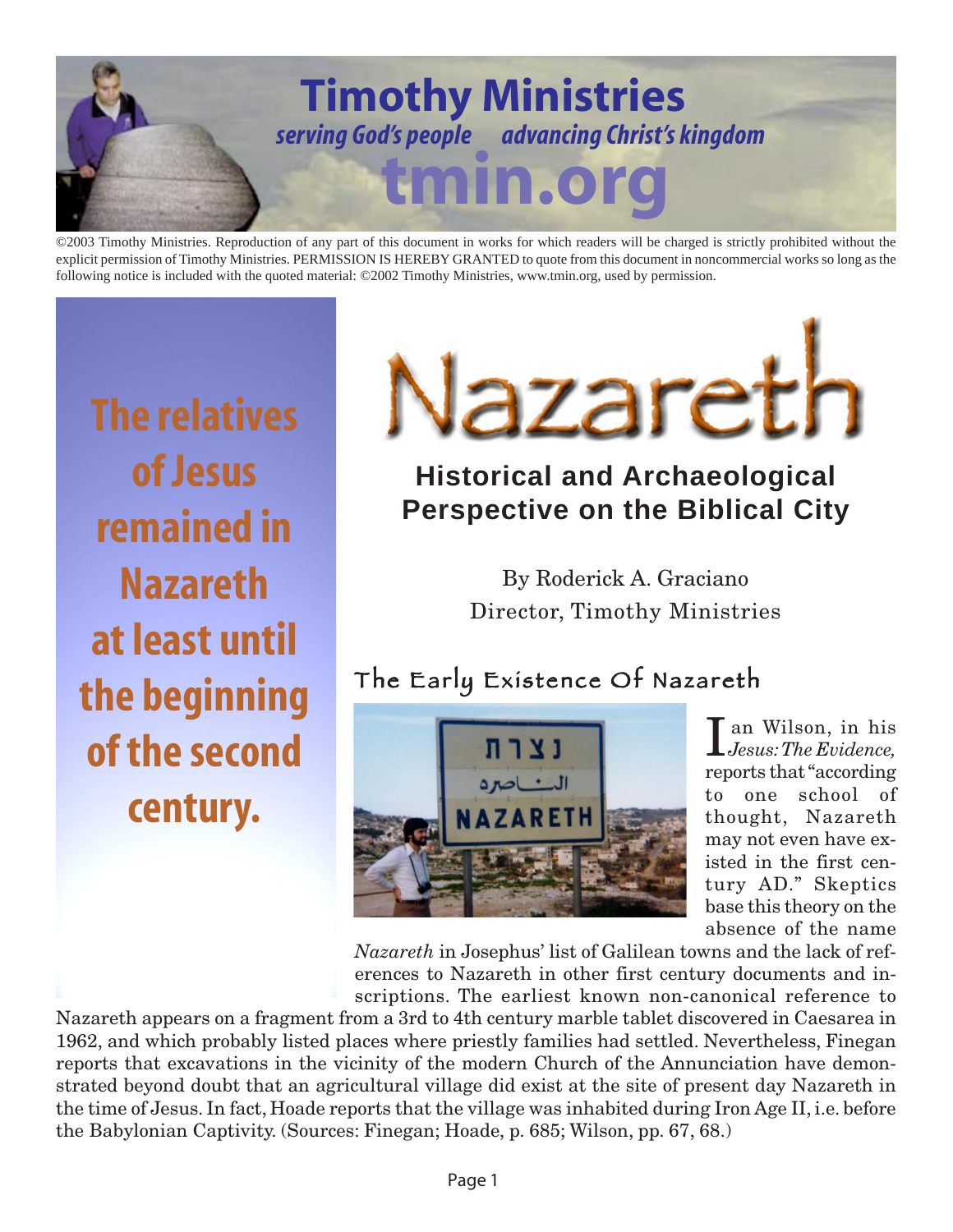

©2003 Timothy Ministries. Reproduction of any part of this document in works for which readers will be charged is strictly prohibited without the explicit permission of Timothy Ministries. PERMISSION IS HEREBY GRANTED to quote from this document in noncommercial works so long as the following notice is included with the quoted material: ©2002 Timothy Ministries, www.tmin.org, used by permission.

**The relatives of Jesus remained in Nazareth at least until the beginning of the second century.**



# **Historical and Archaeological Perspective on the Biblical City**

By Roderick A. Graciano Director, Timothy Ministries

## The Early Existence Of Nazareth



I an Wilson, in his *Jesus: The Evidence,* reports that "according to one school of thought, Nazareth may not even have existed in the first century AD." Skeptics base this theory on the absence of the name

*Nazareth* in Josephus' list of Galilean towns and the lack of references to Nazareth in other first century documents and inscriptions. The earliest known non-canonical reference to

Nazareth appears on a fragment from a 3rd to 4th century marble tablet discovered in Caesarea in 1962, and which probably listed places where priestly families had settled. Nevertheless, Finegan reports that excavations in the vicinity of the modern Church of the Annunciation have demonstrated beyond doubt that an agricultural village did exist at the site of present day Nazareth in the time of Jesus. In fact, Hoade reports that the village was inhabited during Iron Age II, i.e. before the Babylonian Captivity. (Sources: Finegan; Hoade, p. 685; Wilson, pp. 67, 68.)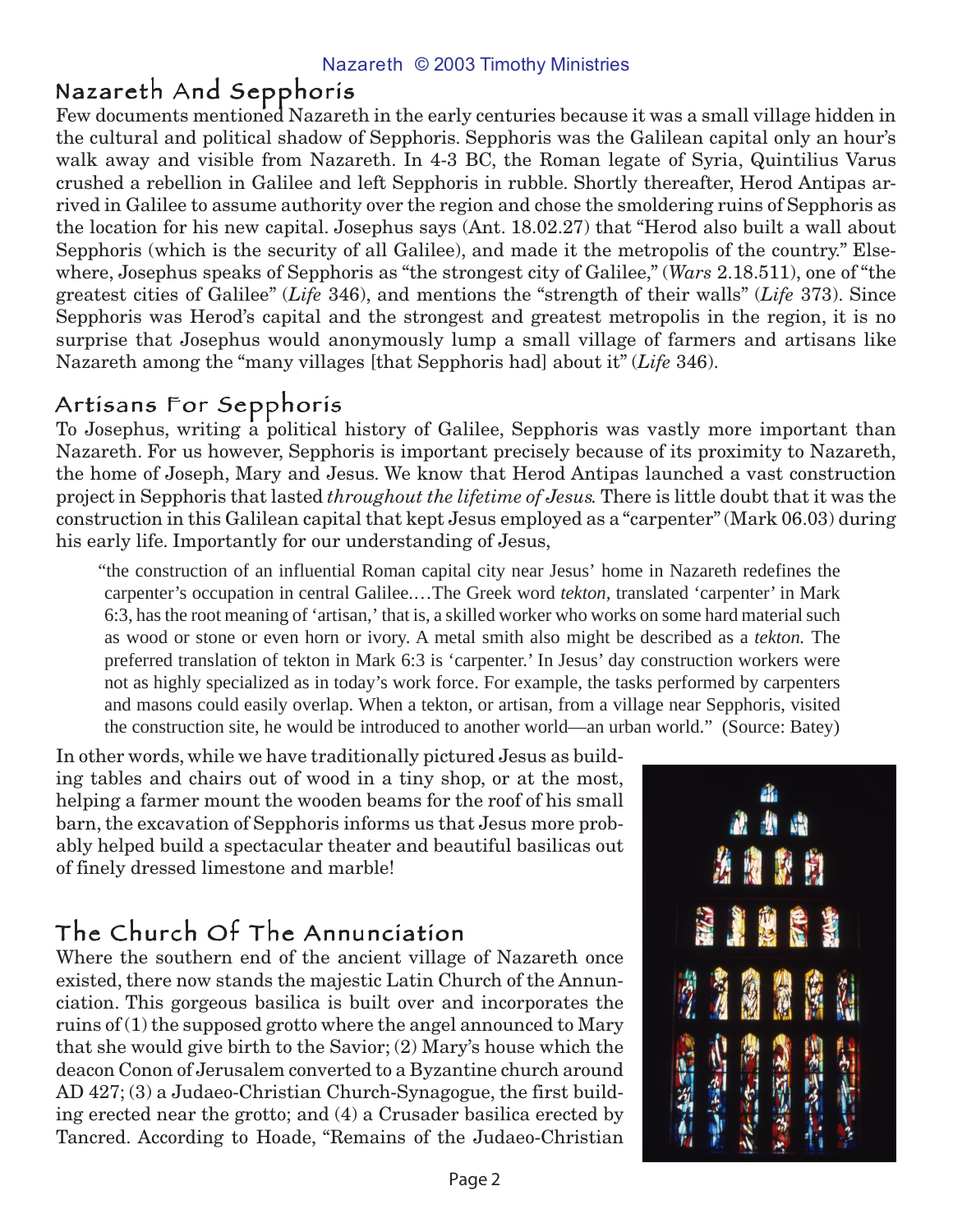#### Nazareth And Sepphoris

Few documents mentioned Nazareth in the early centuries because it was a small village hidden in the cultural and political shadow of Sepphoris. Sepphoris was the Galilean capital only an hour's walk away and visible from Nazareth. In 4-3 BC, the Roman legate of Syria, Quintilius Varus crushed a rebellion in Galilee and left Sepphoris in rubble. Shortly thereafter, Herod Antipas arrived in Galilee to assume authority over the region and chose the smoldering ruins of Sepphoris as the location for his new capital. Josephus says (Ant. 18.02.27) that "Herod also built a wall about Sepphoris (which is the security of all Galilee), and made it the metropolis of the country." Elsewhere, Josephus speaks of Sepphoris as "the strongest city of Galilee," (*Wars* 2.18.511), one of "the greatest cities of Galilee" (*Life* 346), and mentions the "strength of their walls" (*Life* 373). Since Sepphoris was Herod's capital and the strongest and greatest metropolis in the region, it is no surprise that Josephus would anonymously lump a small village of farmers and artisans like Nazareth among the "many villages [that Sepphoris had] about it" (*Life* 346).

## Artisans For Sepphoris

To Josephus, writing a political history of Galilee, Sepphoris was vastly more important than Nazareth. For us however, Sepphoris is important precisely because of its proximity to Nazareth, the home of Joseph, Mary and Jesus. We know that Herod Antipas launched a vast construction project in Sepphoris that lasted *throughout the lifetime of Jesus.* There is little doubt that it was the construction in this Galilean capital that kept Jesus employed as a "carpenter" (Mark 06.03) during his early life. Importantly for our understanding of Jesus,

"the construction of an influential Roman capital city near Jesus' home in Nazareth redefines the carpenter's occupation in central Galilee.…The Greek word *tekton,* translated 'carpenter' in Mark 6:3, has the root meaning of 'artisan,' that is, a skilled worker who works on some hard material such as wood or stone or even horn or ivory. A metal smith also might be described as a *tekton.* The preferred translation of tekton in Mark 6:3 is 'carpenter.' In Jesus' day construction workers were not as highly specialized as in today's work force. For example, the tasks performed by carpenters and masons could easily overlap. When a tekton, or artisan, from a village near Sepphoris, visited the construction site, he would be introduced to another world—an urban world." (Source: Batey)

In other words, while we have traditionally pictured Jesus as building tables and chairs out of wood in a tiny shop, or at the most, helping a farmer mount the wooden beams for the roof of his small barn, the excavation of Sepphoris informs us that Jesus more probably helped build a spectacular theater and beautiful basilicas out of finely dressed limestone and marble!

## The Church Of The Annunciation

Where the southern end of the ancient village of Nazareth once existed, there now stands the majestic Latin Church of the Annunciation. This gorgeous basilica is built over and incorporates the ruins of  $(1)$  the supposed grotto where the angel announced to Mary that she would give birth to the Savior; (2) Mary's house which the deacon Conon of Jerusalem converted to a Byzantine church around AD 427; (3) a Judaeo-Christian Church-Synagogue, the first building erected near the grotto; and (4) a Crusader basilica erected by Tancred. According to Hoade, "Remains of the Judaeo-Christian

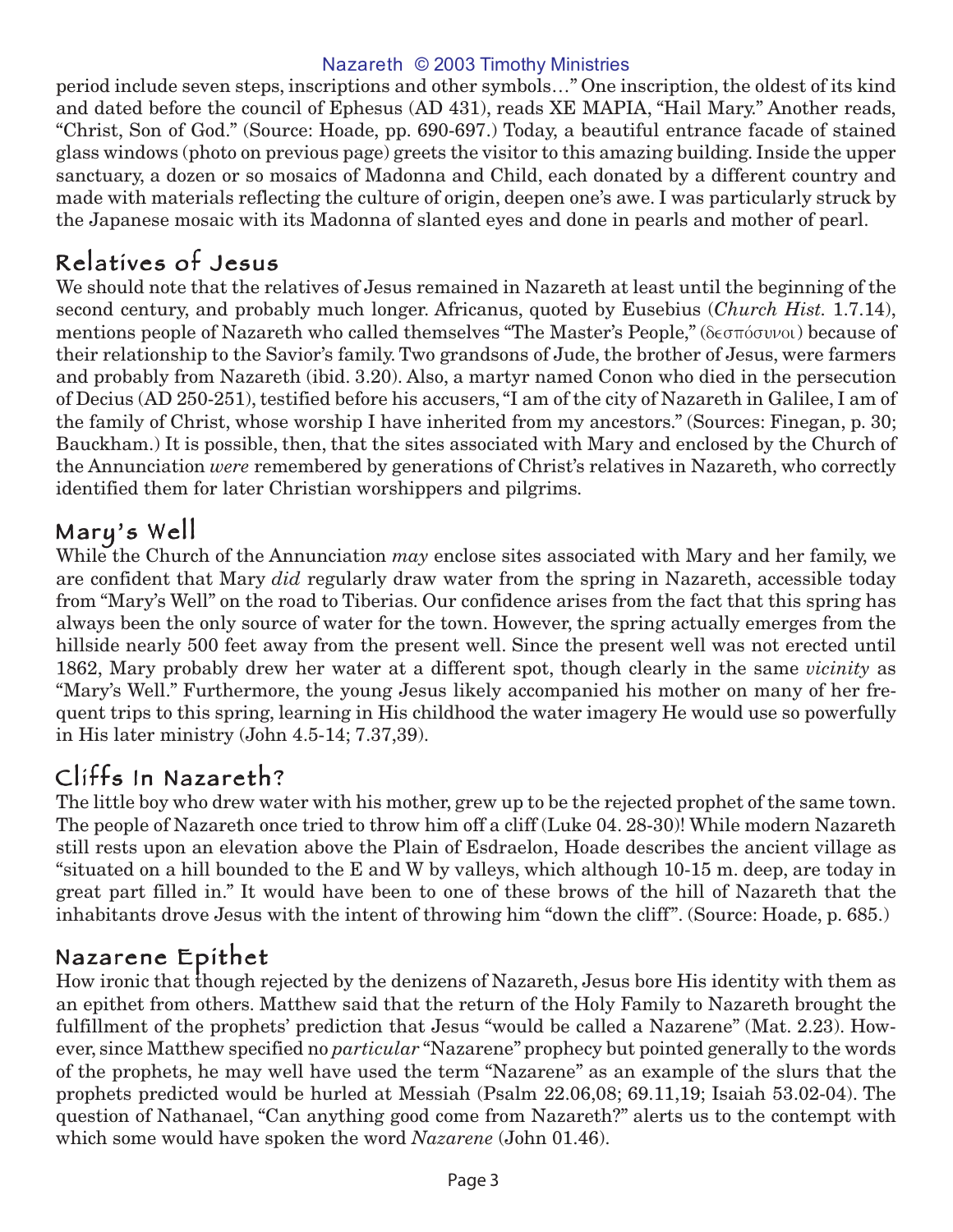#### Nazareth © 2003 Timothy Ministries

period include seven steps, inscriptions and other symbols…" One inscription, the oldest of its kind and dated before the council of Ephesus (AD 431), reads XE MAPIA, "Hail Mary." Another reads, "Christ, Son of God." (Source: Hoade, pp. 690-697.) Today, a beautiful entrance facade of stained glass windows (photo on previous page) greets the visitor to this amazing building. Inside the upper sanctuary, a dozen or so mosaics of Madonna and Child, each donated by a different country and made with materials reflecting the culture of origin, deepen one's awe. I was particularly struck by the Japanese mosaic with its Madonna of slanted eyes and done in pearls and mother of pearl.

#### Relatives of Jesus

We should note that the relatives of Jesus remained in Nazareth at least until the beginning of the second century, and probably much longer. Africanus, quoted by Eusebius (*Church Hist.* 1.7.14), mentions people of Nazareth who called themselves "The Master's People," (δεσπόσυνοι) because of their relationship to the Savior's family. Two grandsons of Jude, the brother of Jesus, were farmers and probably from Nazareth (ibid. 3.20). Also, a martyr named Conon who died in the persecution of Decius (AD 250-251), testified before his accusers, "I am of the city of Nazareth in Galilee, I am of the family of Christ, whose worship I have inherited from my ancestors." (Sources: Finegan, p. 30; Bauckham.) It is possible, then, that the sites associated with Mary and enclosed by the Church of the Annunciation *were* remembered by generations of Christ's relatives in Nazareth, who correctly identified them for later Christian worshippers and pilgrims.

#### Mary's Well

While the Church of the Annunciation *may* enclose sites associated with Mary and her family, we are confident that Mary *did* regularly draw water from the spring in Nazareth, accessible today from "Mary's Well" on the road to Tiberias. Our confidence arises from the fact that this spring has always been the only source of water for the town. However, the spring actually emerges from the hillside nearly 500 feet away from the present well. Since the present well was not erected until 1862, Mary probably drew her water at a different spot, though clearly in the same *vicinity* as "Mary's Well." Furthermore, the young Jesus likely accompanied his mother on many of her frequent trips to this spring, learning in His childhood the water imagery He would use so powerfully in His later ministry (John 4.5-14; 7.37,39).

### Cliffs In Nazareth?

The little boy who drew water with his mother, grew up to be the rejected prophet of the same town. The people of Nazareth once tried to throw him off a cliff (Luke 04. 28-30)! While modern Nazareth still rests upon an elevation above the Plain of Esdraelon, Hoade describes the ancient village as "situated on a hill bounded to the E and W by valleys, which although 10-15 m. deep, are today in great part filled in." It would have been to one of these brows of the hill of Nazareth that the inhabitants drove Jesus with the intent of throwing him "down the cliff". (Source: Hoade, p. 685.)

#### Nazarene Epithet

How ironic that though rejected by the denizens of Nazareth, Jesus bore His identity with them as an epithet from others. Matthew said that the return of the Holy Family to Nazareth brought the fulfillment of the prophets' prediction that Jesus "would be called a Nazarene" (Mat. 2.23). However, since Matthew specified no *particular* "Nazarene" prophecy but pointed generally to the words of the prophets, he may well have used the term "Nazarene" as an example of the slurs that the prophets predicted would be hurled at Messiah (Psalm 22.06,08; 69.11,19; Isaiah 53.02-04). The question of Nathanael, "Can anything good come from Nazareth?" alerts us to the contempt with which some would have spoken the word *Nazarene* (John 01.46).